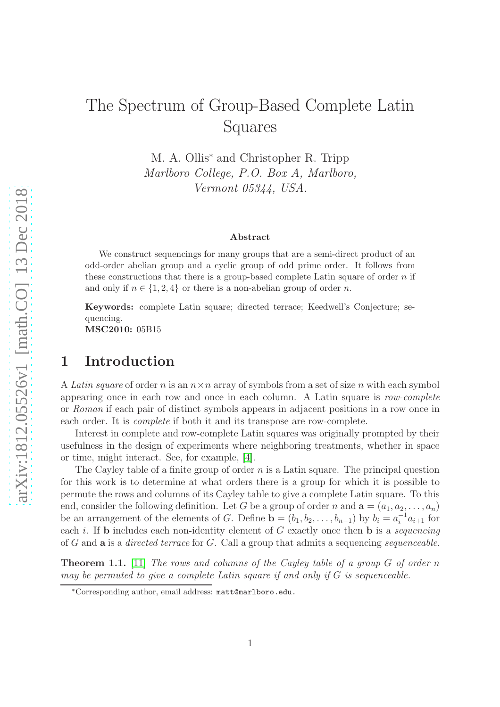# The Spectrum of Group-Based Complete Latin Squares

M. A. Ollis<sup>∗</sup> and Christopher R. Tripp *Marlboro College, P.O. Box A, Marlboro, Vermont 05344, USA.*

#### Abstract

We construct sequencings for many groups that are a semi-direct product of an odd-order abelian group and a cyclic group of odd prime order. It follows from these constructions that there is a group-based complete Latin square of order  $n$  if and only if  $n \in \{1, 2, 4\}$  or there is a non-abelian group of order n.

Keywords: complete Latin square; directed terrace; Keedwell's Conjecture; sequencing.

MSC2010: 05B15

#### 1 Introduction

A *Latin square* of order n is an n×n array of symbols from a set of size n with each symbol appearing once in each row and once in each column. A Latin square is *row-complete* or *Roman* if each pair of distinct symbols appears in adjacent positions in a row once in each order. It is *complete* if both it and its transpose are row-complete.

Interest in complete and row-complete Latin squares was originally prompted by their usefulness in the design of experiments where neighboring treatments, whether in space or time, might interact. See, for example, [\[4\]](#page-10-0).

The Cayley table of a finite group of order  $n$  is a Latin square. The principal question for this work is to determine at what orders there is a group for which it is possible to permute the rows and columns of its Cayley table to give a complete Latin square. To this end, consider the following definition. Let G be a group of order n and  $\mathbf{a} = (a_1, a_2, \dots, a_n)$ be an arrangement of the elements of G. Define  $\mathbf{b} = (b_1, b_2, \ldots, b_{n-1})$  by  $b_i = a_i^{-1} a_{i+1}$  for each i. If b includes each non-identity element of G exactly once then b is a *sequencing* of G and a is a *directed terrace* for G. Call a group that admits a sequencing *sequenceable*.

<span id="page-0-0"></span>Theorem 1.1. [\[11\]](#page-10-1) *The rows and columns of the Cayley table of a group* G *of order* n *may be permuted to give a complete Latin square if and only if* G *is sequenceable.*

<sup>∗</sup>Corresponding author, email address: matt@marlboro.edu.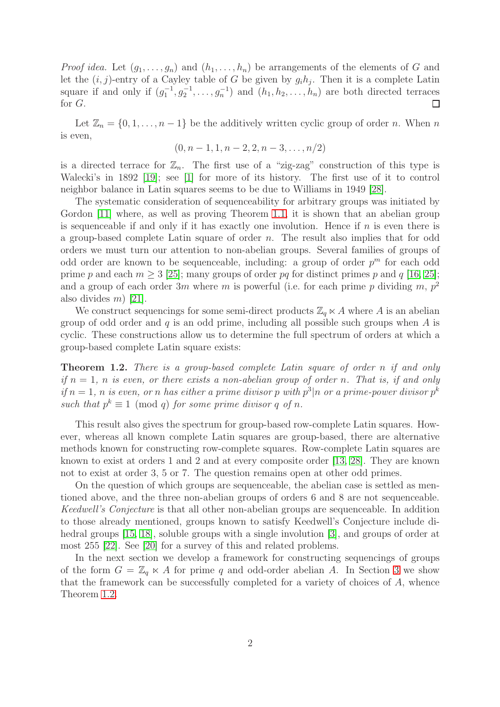*Proof idea.* Let  $(g_1, \ldots, g_n)$  and  $(h_1, \ldots, h_n)$  be arrangements of the elements of G and let the  $(i, j)$ -entry of a Cayley table of G be given by  $g_i h_j$ . Then it is a complete Latin square if and only if  $(g_1^{-1}, g_2^{-1}, \ldots, g_n^{-1})$  and  $(h_1, h_2, \ldots, h_n)$  are both directed terraces for G.  $\Box$ 

Let  $\mathbb{Z}_n = \{0, 1, \ldots, n-1\}$  be the additively written cyclic group of order n. When n is even,

$$
(0, n-1, 1, n-2, 2, n-3, \ldots, n/2)
$$

is a directed terrace for  $\mathbb{Z}_n$ . The first use of a "zig-zag" construction of this type is Walecki's in 1892 [\[19\]](#page-11-0); see [\[1\]](#page-10-2) for more of its history. The first use of it to control neighbor balance in Latin squares seems to be due to Williams in 1949 [\[28\]](#page-11-1).

The systematic consideration of sequenceability for arbitrary groups was initiated by Gordon [\[11\]](#page-10-1) where, as well as proving Theorem [1.1,](#page-0-0) it is shown that an abelian group is sequenceable if and only if it has exactly one involution. Hence if  $n$  is even there is a group-based complete Latin square of order n. The result also implies that for odd orders we must turn our attention to non-abelian groups. Several families of groups of odd order are known to be sequenceable, including: a group of order  $p^m$  for each odd prime p and each  $m > 3$  [\[25\]](#page-11-2); many groups of order pq for distinct primes p and q [\[16,](#page-11-3) [25\]](#page-11-2); and a group of each order 3m where m is powerful (i.e. for each prime p dividing m,  $p^2$ also divides  $m$ ) [\[21\]](#page-11-4).

We construct sequencings for some semi-direct products  $\mathbb{Z}_q \ltimes A$  where A is an abelian group of odd order and  $q$  is an odd prime, including all possible such groups when  $A$  is cyclic. These constructions allow us to determine the full spectrum of orders at which a group-based complete Latin square exists:

<span id="page-1-0"></span>Theorem 1.2. *There is a group-based complete Latin square of order* n *if and only if*  $n = 1$ , *n is even, or there exists a non-abelian group of order n.* That *is, if and only if*  $n = 1$ , *n is even, or n has either a prime divisor p with*  $p^3|n$  *or a prime-power divisor*  $p^k$ such that  $p^k \equiv 1 \pmod{q}$  *for some prime divisor* q *of* n.

This result also gives the spectrum for group-based row-complete Latin squares. However, whereas all known complete Latin squares are group-based, there are alternative methods known for constructing row-complete squares. Row-complete Latin squares are known to exist at orders 1 and 2 and at every composite order [\[13,](#page-10-3) [28\]](#page-11-1). They are known not to exist at order 3, 5 or 7. The question remains open at other odd primes.

On the question of which groups are sequenceable, the abelian case is settled as mentioned above, and the three non-abelian groups of orders 6 and 8 are not sequenceable. *Keedwell's Conjecture* is that all other non-abelian groups are sequenceable. In addition to those already mentioned, groups known to satisfy Keedwell's Conjecture include di-hedral groups [\[15,](#page-11-5) [18\]](#page-11-6), soluble groups with a single involution [\[3\]](#page-10-4), and groups of order at most 255 [\[22\]](#page-11-7). See [\[20\]](#page-11-8) for a survey of this and related problems.

In the next section we develop a framework for constructing sequencings of groups of the form  $G = \mathbb{Z}_q \ltimes A$  for prime q and odd-order abelian A. In Section [3](#page-4-0) we show that the framework can be successfully completed for a variety of choices of A, whence Theorem [1.2.](#page-1-0)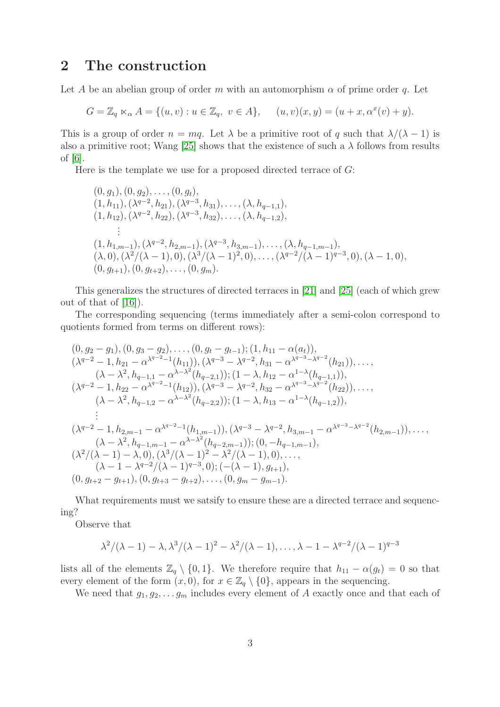### 2 The construction

Let A be an abelian group of order m with an automorphism  $\alpha$  of prime order q. Let

$$
G = \mathbb{Z}_q \ltimes_{\alpha} A = \{(u, v) : u \in \mathbb{Z}_q, v \in A\}, \quad (u, v)(x, y) = (u + x, \alpha^x(v) + y).
$$

This is a group of order  $n = mq$ . Let  $\lambda$  be a primitive root of q such that  $\lambda/(\lambda - 1)$  is also a primitive root; Wang [\[25\]](#page-11-2) shows that the existence of such a  $\lambda$  follows from results of [\[6\]](#page-10-5).

Here is the template we use for a proposed directed terrace of  $G$ :

$$
(0, g_1), (0, g_2), \ldots, (0, g_t),(1, h_{11}), (\lambda^{q-2}, h_{21}), (\lambda^{q-3}, h_{31}), \ldots, (\lambda, h_{q-1,1}),(1, h_{12}), (\lambda^{q-2}, h_{22}), (\lambda^{q-3}, h_{32}), \ldots, (\lambda, h_{q-1,2}),\vdots(1, h_{1,m-1}), (\lambda^{q-2}, h_{2,m-1}), (\lambda^{q-3}, h_{3,m-1}), \ldots, (\lambda, h_{q-1,m-1}),(\lambda, 0), (\lambda^2/(\lambda - 1), 0), (\lambda^3/(\lambda - 1)^2, 0), \ldots, (\lambda^{q-2}/(\lambda - 1)^{q-3}, 0), (\lambda - 1, 0),(0, g_{t+1}), (0, g_{t+2}), \ldots, (0, g_m).
$$

This generalizes the structures of directed terraces in [\[21\]](#page-11-4) and [\[25\]](#page-11-2) (each of which grew out of that of [\[16\]](#page-11-3)).

The corresponding sequencing (terms immediately after a semi-colon correspond to quotients formed from terms on different rows):

$$
(0, g_2 - g_1), (0, g_3 - g_2), \dots, (0, g_t - g_{t-1}); (1, h_{11} - \alpha(a_t)),\n(\lambda^{q-2} - 1, h_{21} - \alpha^{\lambda^{q-2}-1}(h_{11})), (\lambda^{q-3} - \lambda^{q-2}, h_{31} - \alpha^{\lambda^{q-3}-\lambda^{q-2}}(h_{21})), \dots, \n(\lambda - \lambda^2, h_{q-1,1} - \alpha^{\lambda-\lambda^2}(h_{q-2,1})); (1 - \lambda, h_{12} - \alpha^{1-\lambda}(h_{q-1,1})),\n(\lambda^{q-2} - 1, h_{22} - \alpha^{\lambda^{q-2}-1}(h_{12})), (\lambda^{q-3} - \lambda^{q-2}, h_{32} - \alpha^{\lambda^{q-3}-\lambda^{q-2}}(h_{22})), \dots, \n(\lambda - \lambda^2, h_{q-1,2} - \alpha^{\lambda-\lambda^2}(h_{q-2,2})); (1 - \lambda, h_{13} - \alpha^{1-\lambda}(h_{q-1,2})),\n::\n(\lambda^{q-2} - 1, h_{2,m-1} - \alpha^{\lambda^{q-2}-1}(h_{1,m-1})), (\lambda^{q-3} - \lambda^{q-2}, h_{3,m-1} - \alpha^{\lambda^{q-3}-\lambda^{q-2}}(h_{2,m-1})), \dots, \n(\lambda - \lambda^2, h_{q-1,m-1} - \alpha^{\lambda-\lambda^2}(h_{q-2,m-1})); (0, -h_{q-1,m-1}),\n(\lambda^2/(\lambda - 1) - \lambda, 0), (\lambda^3/(\lambda - 1)^2 - \lambda^2/(\lambda - 1), 0), \dots, \n(\lambda - 1 - \lambda^{q-2}/(\lambda - 1)^{q-3}, 0); (-(\lambda - 1), g_{t+1}),\n(0, g_{t+2} - g_{t+1}), (0, g_{t+3} - g_{t+2}), \dots, (0, g_m - g_{m-1}).
$$

What requirements must we satsify to ensure these are a directed terrace and sequencing?

Observe that

$$
\lambda^2/(\lambda-1)-\lambda, \lambda^3/(\lambda-1)^2-\lambda^2/(\lambda-1), \ldots, \lambda-1-\lambda^{q-2}/(\lambda-1)^{q-3}
$$

lists all of the elements  $\mathbb{Z}_q \setminus \{0,1\}$ . We therefore require that  $h_{11} - \alpha(g_t) = 0$  so that every element of the form  $(x, 0)$ , for  $x \in \mathbb{Z}_q \setminus \{0\}$ , appears in the sequencing.

We need that  $g_1, g_2, \ldots g_m$  includes every element of A exactly once and that each of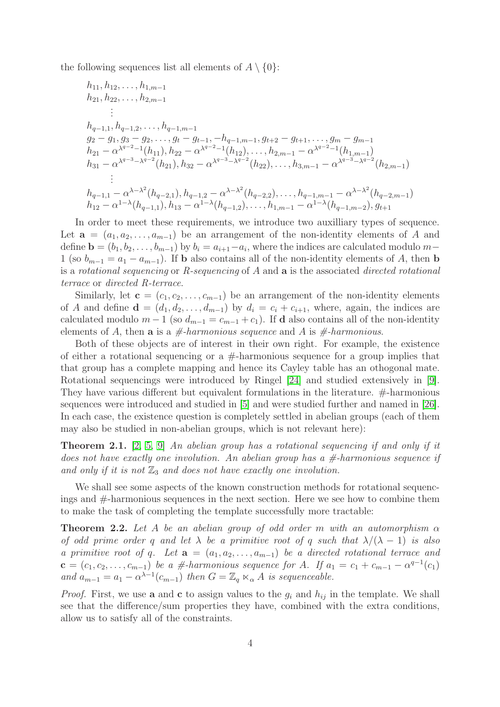the following sequences list all elements of  $A \setminus \{0\}$ :

$$
h_{11}, h_{12}, \ldots, h_{1,m-1}
$$
\n
$$
h_{21}, h_{22}, \ldots, h_{2,m-1}
$$
\n
$$
\vdots
$$
\n
$$
h_{q-1,1}, h_{q-1,2}, \ldots, h_{q-1,m-1}
$$
\n
$$
g_2 - g_1, g_3 - g_2, \ldots, g_t - g_{t-1}, -h_{q-1,m-1}, g_{t+2} - g_{t+1}, \ldots, g_m - g_{m-1}
$$
\n
$$
h_{21} - \alpha^{\lambda^{q-2}-1}(h_{11}), h_{22} - \alpha^{\lambda^{q-2}-1}(h_{12}), \ldots, h_{2,m-1} - \alpha^{\lambda^{q-2}-1}(h_{1,m-1})
$$
\n
$$
h_{31} - \alpha^{\lambda^{q-3}-\lambda^{q-2}}(h_{21}), h_{32} - \alpha^{\lambda^{q-3}-\lambda^{q-2}}(h_{22}), \ldots, h_{3,m-1} - \alpha^{\lambda^{q-3}-\lambda^{q-2}}(h_{2,m-1})
$$
\n
$$
\vdots
$$
\n
$$
h_{q-1,1} - \alpha^{\lambda-\lambda^{2}}(h_{q-2,1}), h_{q-1,2} - \alpha^{\lambda-\lambda^{2}}(h_{q-2,2}), \ldots, h_{q-1,m-1} - \alpha^{\lambda-\lambda^{2}}(h_{q-2,m-1})
$$
\n
$$
h_{12} - \alpha^{1-\lambda}(h_{q-1,1}), h_{13} - \alpha^{1-\lambda}(h_{q-1,2}), \ldots, h_{1,m-1} - \alpha^{1-\lambda}(h_{q-1,m-2}), g_{t+1}
$$

In order to meet these requirements, we introduce two auxilliary types of sequence. Let  $\mathbf{a} = (a_1, a_2, \ldots, a_{m-1})$  be an arrangement of the non-identity elements of A and define  $\mathbf{b} = (b_1, b_2, \dots, b_{m-1})$  by  $b_i = a_{i+1} - a_i$ , where the indices are calculated modulo  $m-$ 1 (so  $b_{m-1} = a_1 - a_{m-1}$ ). If **b** also contains all of the non-identity elements of A, then **b** is a *rotational sequencing* or *R-sequencing* of A and a is the associated *directed rotational terrace* or *directed R-terrace*.

Similarly, let  $\mathbf{c} = (c_1, c_2, \dots, c_{m-1})$  be an arrangement of the non-identity elements of A and define  $\mathbf{d} = (d_1, d_2, \dots, d_{m-1})$  by  $d_i = c_i + c_{i+1}$ , where, again, the indices are calculated modulo  $m-1$  (so  $d_{m-1} = c_{m-1} + c_1$ ). If **d** also contains all of the non-identity elements of A, then a is a *#-harmonious sequence* and A is *#-harmonious*.

Both of these objects are of interest in their own right. For example, the existence of either a rotational sequencing or a  $\#$ -harmonious sequence for a group implies that that group has a complete mapping and hence its Cayley table has an othogonal mate. Rotational sequencings were introduced by Ringel [\[24\]](#page-11-9) and studied extensively in [\[9\]](#page-10-6). They have various different but equivalent formulations in the literature. #-harmonious sequences were introduced and studied in [\[5\]](#page-10-7) and were studied further and named in [\[26\]](#page-11-10). In each case, the existence question is completely settled in abelian groups (each of them may also be studied in non-abelian groups, which is not relevant here):

Theorem 2.1. [\[2,](#page-10-8) [5,](#page-10-7) [9\]](#page-10-6) *An abelian group has a rotational sequencing if and only if it does not have exactly one involution. An abelian group has a #-harmonious sequence if* and only if it is not  $\mathbb{Z}_3$  and does not have exactly one involution.

We shall see some aspects of the known construction methods for rotational sequencings and #-harmonious sequences in the next section. Here we see how to combine them to make the task of completing the template successfully more tractable:

<span id="page-3-0"></span>**Theorem 2.2.** Let A be an abelian group of odd order m with an automorphism  $\alpha$ *of odd prime order* q and let  $\lambda$  be a primitive root of q such that  $\lambda/(\lambda - 1)$  is also *a primitive root of q. Let*  $\mathbf{a} = (a_1, a_2, \ldots, a_{m-1})$  *be a directed rotational terrace and*  ${\bf c} = (c_1, c_2, \ldots, c_{m-1})$  *be a #*-harmonious sequence for A. If  $a_1 = c_1 + c_{m-1} - \alpha^{q-1}(c_1)$ and  $a_{m-1} = a_1 - \alpha^{\lambda-1}(c_{m-1})$  *then*  $G = \mathbb{Z}_q \ltimes_{\alpha} A$  *is sequenceable.* 

*Proof.* First, we use **a** and **c** to assign values to the  $g_i$  and  $h_{ij}$  in the template. We shall see that the difference/sum properties they have, combined with the extra conditions, allow us to satisfy all of the constraints.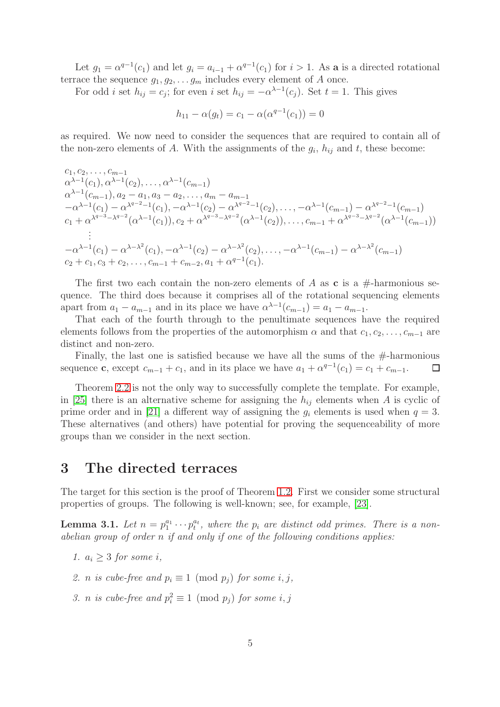Let  $g_1 = \alpha^{q-1}(c_1)$  and let  $g_i = a_{i-1} + \alpha^{q-1}(c_1)$  for  $i > 1$ . As a is a directed rotational terrace the sequence  $g_1, g_2, \ldots, g_m$  includes every element of A once.

For odd *i* set  $h_{ij} = c_j$ ; for even *i* set  $h_{ij} = -\alpha^{\lambda-1}(c_j)$ . Set  $t = 1$ . This gives

$$
h_{11} - \alpha(g_t) = c_1 - \alpha(\alpha^{q-1}(c_1)) = 0
$$

as required. We now need to consider the sequences that are required to contain all of the non-zero elements of A. With the assignments of the  $g_i$ ,  $h_{ij}$  and t, these become:

$$
c_1, c_2, \ldots, c_{m-1}
$$
\n
$$
\alpha^{\lambda-1}(c_1), \alpha^{\lambda-1}(c_2), \ldots, \alpha^{\lambda-1}(c_{m-1})
$$
\n
$$
\alpha^{\lambda-1}(c_{m-1}), a_2 - a_1, a_3 - a_2, \ldots, a_m - a_{m-1}
$$
\n
$$
-\alpha^{\lambda-1}(c_1) - \alpha^{\lambda^{q-2}-1}(c_1), -\alpha^{\lambda^{q-1}}(c_2) - \alpha^{\lambda^{q-2}-1}(c_2), \ldots, -\alpha^{\lambda-1}(c_{m-1}) - \alpha^{\lambda^{q-2}-1}(c_{m-1})
$$
\n
$$
c_1 + \alpha^{\lambda^{q-3}-\lambda^{q-2}}(\alpha^{\lambda-1}(c_1)), c_2 + \alpha^{\lambda^{q-3}-\lambda^{q-2}}(\alpha^{\lambda-1}(c_2)), \ldots, c_{m-1} + \alpha^{\lambda^{q-3}-\lambda^{q-2}}(\alpha^{\lambda-1}(c_{m-1}))
$$
\n
$$
\vdots
$$
\n
$$
-\alpha^{\lambda-1}(c_1) - \alpha^{\lambda-\lambda^2}(c_1), -\alpha^{\lambda-1}(c_2) - \alpha^{\lambda-\lambda^2}(c_2), \ldots, -\alpha^{\lambda-1}(c_{m-1}) - \alpha^{\lambda-\lambda^2}(c_{m-1})
$$
\n
$$
c_2 + c_1, c_3 + c_2, \ldots, c_{m-1} + c_{m-2}, a_1 + \alpha^{q-1}(c_1).
$$

The first two each contain the non-zero elements of A as c is a  $\#$ -harmonious sequence. The third does because it comprises all of the rotational sequencing elements apart from  $a_1 - a_{m-1}$  and in its place we have  $\alpha^{\lambda-1}(c_{m-1}) = a_1 - a_{m-1}$ .

That each of the fourth through to the penultimate sequences have the required elements follows from the properties of the automorphism  $\alpha$  and that  $c_1, c_2, \ldots, c_{m-1}$  are distinct and non-zero.

Finally, the last one is satisfied because we have all the sums of the  $#$ -harmonious sequence **c**, except  $c_{m-1} + c_1$ , and in its place we have  $a_1 + \alpha^{q-1}(c_1) = c_1 + c_{m-1}$ .  $\Box$ 

Theorem [2.2](#page-3-0) is not the only way to successfully complete the template. For example, in [\[25\]](#page-11-2) there is an alternative scheme for assigning the  $h_{ij}$  elements when A is cyclic of prime order and in [\[21\]](#page-11-4) a different way of assigning the  $q_i$  elements is used when  $q = 3$ . These alternatives (and others) have potential for proving the sequenceability of more groups than we consider in the next section.

#### <span id="page-4-0"></span>3 The directed terraces

The target for this section is the proof of Theorem [1.2.](#page-1-0) First we consider some structural properties of groups. The following is well-known; see, for example, [\[23\]](#page-11-11).

<span id="page-4-1"></span>**Lemma 3.1.** Let  $n = p_1^{a_1} \cdots p_t^{a_t}$ , where the  $p_i$  are distinct odd primes. There is a non*abelian group of order* n *if and only if one of the following conditions applies:*

- *1.*  $a_i \geq 3$  *for some i*,
- *2. n is cube-free and*  $p_i \equiv 1 \pmod{p_j}$  *for some i, j,*
- *3. n is cube-free and*  $p_i^2 \equiv 1 \pmod{p_j}$  *for some i, j*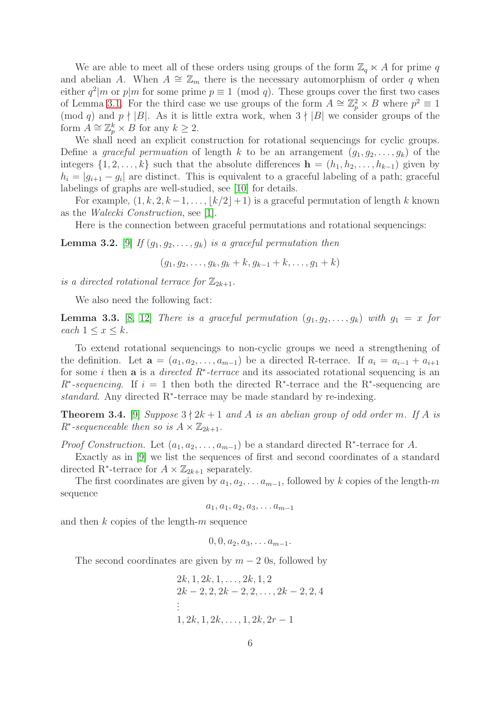We are able to meet all of these orders using groups of the form  $\mathbb{Z}_q \ltimes A$  for prime q and abelian A. When  $A \cong \mathbb{Z}_m$  there is the necessary automorphism of order q when either  $q^2|m$  or  $p|m$  for some prime  $p \equiv 1 \pmod{q}$ . These groups cover the first two cases of Lemma [3.1.](#page-4-1) For the third case we use groups of the form  $A \cong \mathbb{Z}_p^2 \times B$  where  $p^2 \equiv 1$ (mod q) and  $p \nmid |B|$ . As it is little extra work, when  $3 \nmid |B|$  we consider groups of the form  $A \cong \mathbb{Z}_p^k \times B$  for any  $k \geq 2$ .

We shall need an explicit construction for rotational sequencings for cyclic groups. Define a *graceful permuation* of length k to be an arrangement  $(q_1, q_2, \ldots, q_k)$  of the integers  $\{1, 2, \ldots, k\}$  such that the absolute differences  $\mathbf{h} = (h_1, h_2, \ldots, h_{k-1})$  given by  $h_i = |g_{i+1} - g_i|$  are distinct. This is equivalent to a graceful labeling of a path; graceful labelings of graphs are well-studied, see [\[10\]](#page-10-9) for details.

For example,  $(1, k, 2, k-1, \ldots, |k/2|+1)$  is a graceful permutation of length k known as the *Walecki Construction*, see [\[1\]](#page-10-2).

Here is the connection between graceful permutations and rotational sequencings:

<span id="page-5-2"></span>**Lemma 3.2.** [\[9\]](#page-10-6) *If*  $(g_1, g_2, \ldots, g_k)$  *is a graceful permutation then* 

 $(q_1, q_2, \ldots, q_k, q_k + k, q_{k-1} + k, \ldots, q_1 + k)$ 

*is a directed rotational terrace for*  $\mathbb{Z}_{2k+1}$ *.* 

We also need the following fact:

<span id="page-5-1"></span>**Lemma 3.3.** [\[8,](#page-10-10) [12\]](#page-10-11) *There is a graceful permutation*  $(g_1, g_2, \ldots, g_k)$  *with*  $g_1 = x$  *for each*  $1 \leq x \leq k$ *.* 

To extend rotational sequencings to non-cyclic groups we need a strengthening of the definition. Let  $\mathbf{a} = (a_1, a_2, \dots, a_{m-1})$  be a directed R-terrace. If  $a_i = a_{i-1} + a_{i+1}$ for some i then a is a *directed R*<sup>∗</sup> *-terrace* and its associated rotational sequencing is an  $R^*$ -sequencing. If  $i = 1$  then both the directed R<sup>\*</sup>-terrace and the R<sup>\*</sup>-sequencing are *standard*. Any directed R<sup>∗</sup> -terrace may be made standard by re-indexing.

<span id="page-5-0"></span>**Theorem 3.4.** [\[9\]](#page-10-6) *Suppose*  $3 \nmid 2k+1$  *and* A *is an abelian group of odd order* m. If A *is*  $R^*$ -sequenceable then so is  $A \times \mathbb{Z}_{2k+1}$ .

*Proof Construction.* Let  $(a_1, a_2, \ldots, a_{m-1})$  be a standard directed R<sup>\*</sup>-terrace for A.

Exactly as in [\[9\]](#page-10-6) we list the sequences of first and second coordinates of a standard directed R<sup>\*</sup>-terrace for  $A \times \mathbb{Z}_{2k+1}$  separately.

The first coordinates are given by  $a_1, a_2, \ldots a_{m-1}$ , followed by k copies of the length-m sequence

$$
a_1, a_1, a_2, a_3, \ldots a_{m-1}
$$

and then  $k$  copies of the length- $m$  sequence

 $0, 0, a_2, a_3, \ldots a_{m-1}.$ 

The second coordinates are given by  $m - 2$  0s, followed by

$$
2k, 1, 2k, 1, \ldots, 2k, 1, 2
$$
  
\n
$$
2k - 2, 2, 2k - 2, 2, \ldots, 2k - 2, 2, 4
$$
  
\n
$$
\vdots
$$
  
\n
$$
1, 2k, 1, 2k, \ldots, 1, 2k, 2r - 1
$$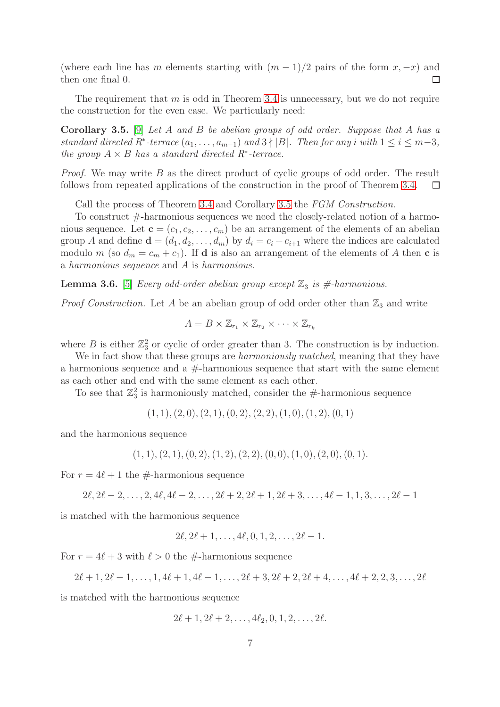(where each line has m elements starting with  $(m-1)/2$  pairs of the form  $x, -x$ ) and then one final 0.  $\Box$ 

The requirement that  $m$  is odd in Theorem [3.4](#page-5-0) is unnecessary, but we do not require the construction for the even case. We particularly need:

<span id="page-6-0"></span>Corollary 3.5. [\[9\]](#page-10-6) *Let* A *and* B *be abelian groups of odd order. Suppose that* A *has a standard directed*  $R^*$ -terrace  $(a_1, \ldots, a_{m-1})$  and  $3 \nmid |B|$ . Then for any i with  $1 \leq i \leq m-3$ , *the group*  $A \times B$  *has a standard directed*  $R^*$ -terrace.

*Proof.* We may write B as the direct product of cyclic groups of odd order. The result follows from repeated applications of the construction in the proof of Theorem [3.4.](#page-5-0)  $\Box$ 

Call the process of Theorem [3.4](#page-5-0) and Corollary [3.5](#page-6-0) the *FGM Construction*.

To construct #-harmonious sequences we need the closely-related notion of a harmonious sequence. Let  $\mathbf{c} = (c_1, c_2, \dots, c_m)$  be an arrangement of the elements of an abelian group A and define  $\mathbf{d} = (d_1, d_2, \dots, d_m)$  by  $d_i = c_i + c_{i+1}$  where the indices are calculated modulo m (so  $d_m = c_m + c_1$ ). If **d** is also an arrangement of the elements of A then **c** is a *harmonious sequence* and A is *harmonious*.

<span id="page-6-1"></span>**Lemma 3.6.** [\[5\]](#page-10-7) *Every odd-order abelian group except*  $\mathbb{Z}_3$  *is #-harmonious.* 

*Proof Construction.* Let  $A$  be an abelian group of odd order other than  $\mathbb{Z}_3$  and write

$$
A = B \times \mathbb{Z}_{r_1} \times \mathbb{Z}_{r_2} \times \cdots \times \mathbb{Z}_{r_k}
$$

where B is either  $\mathbb{Z}_3^2$  or cyclic of order greater than 3. The construction is by induction.

We in fact show that these groups are *harmoniously matched*, meaning that they have a harmonious sequence and a  $#$ -harmonious sequence that start with the same element as each other and end with the same element as each other.

To see that  $\mathbb{Z}_3^2$  is harmoniously matched, consider the #-harmonious sequence

$$
(1,1), (2,0), (2,1), (0,2), (2,2), (1,0), (1,2), (0,1)
$$

and the harmonious sequence

 $(1, 1), (2, 1), (0, 2), (1, 2), (2, 2), (0, 0), (1, 0), (2, 0), (0, 1).$ 

For  $r = 4\ell + 1$  the #-harmonious sequence

$$
2\ell, 2\ell-2, \ldots, 2, 4\ell, 4\ell-2, \ldots, 2\ell+2, 2\ell+1, 2\ell+3, \ldots, 4\ell-1, 1, 3, \ldots, 2\ell-1
$$

is matched with the harmonious sequence

$$
2\ell, 2\ell+1, \ldots, 4\ell, 0, 1, 2, \ldots, 2\ell-1.
$$

For  $r = 4\ell + 3$  with  $\ell > 0$  the #-harmonious sequence

$$
2\ell+1, 2\ell-1, \ldots, 1, 4\ell+1, 4\ell-1, \ldots, 2\ell+3, 2\ell+2, 2\ell+4, \ldots, 4\ell+2, 2, 3, \ldots, 2\ell
$$

is matched with the harmonious sequence

$$
2\ell+1, 2\ell+2, \ldots, 4\ell_2, 0, 1, 2, \ldots, 2\ell.
$$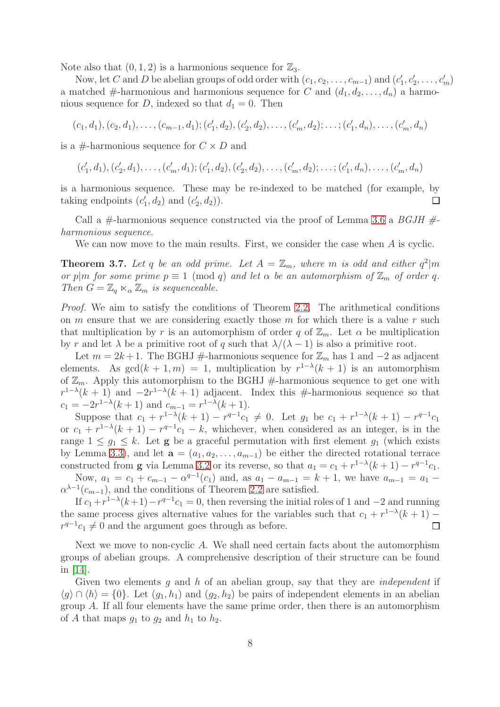Note also that  $(0, 1, 2)$  is a harmonious sequence for  $\mathbb{Z}_3$ .

Now, let C and D be abelian groups of odd order with  $(c_1, c_2, \ldots, c_{m-1})$  and  $(c'_1, c'_2, \ldots, c_m)$  $c'_1, c'_2, \ldots, c'_m$ a matched #-harmonious and harmonious sequence for C and  $(d_1, d_2, \ldots, d_n)$  a harmonious sequence for D, indexed so that  $d_1 = 0$ . Then

$$
(c_1, d_1), (c_2, d_1), \ldots, (c_{m-1}, d_1); (c'_1, d_2), (c'_2, d_2), \ldots, (c'_m, d_2); \ldots; (c'_1, d_n), \ldots, (c'_m, d_n)
$$

is a #-harmonious sequence for  $C \times D$  and

$$
(c'_1, d_1), (c'_2, d_1), \ldots, (c'_m, d_1); (c'_1, d_2), (c'_2, d_2), \ldots, (c'_m, d_2); \ldots; (c'_1, d_n), \ldots, (c'_m, d_n)
$$

is a harmonious sequence. These may be re-indexed to be matched (for example, by taking endpoints  $(c_1)$  $\left( \frac{1}{2}, d_2 \right)$  and  $\left( c_2^{\prime} \right)$  $'_{2},d_{2}$ ).  $\Box$ 

Call a #-harmonious sequence constructed via the proof of Lemma [3.6](#page-6-1) a *BGJH # harmonious sequence*.

We can now move to the main results. First, we consider the case when A is cyclic.

<span id="page-7-0"></span>**Theorem 3.7.** Let q be an odd prime. Let  $A = \mathbb{Z}_m$ , where m is odd and either  $q^2|m$ *or* p|m *for some prime*  $p \equiv 1 \pmod{q}$  *and let*  $\alpha$  *be an automorphism of*  $\mathbb{Z}_m$  *of order* q. *Then*  $G = \mathbb{Z}_q \ltimes_{\alpha} \mathbb{Z}_m$  *is sequenceable.* 

*Proof.* We aim to satisfy the conditions of Theorem [2.2.](#page-3-0) The arithmetical conditions on  $m$  ensure that we are considering exactly those  $m$  for which there is a value  $r$  such that multiplication by r is an automorphism of order q of  $\mathbb{Z}_m$ . Let  $\alpha$  be multiplication by r and let  $\lambda$  be a primitive root of q such that  $\lambda/(\lambda - 1)$  is also a primitive root.

Let  $m = 2k + 1$ . The BGHJ #-harmonious sequence for  $\mathbb{Z}_m$  has 1 and  $-2$  as adjacent elements. As  $gcd(k + 1, m) = 1$ , multiplication by  $r^{1-\lambda}(k + 1)$  is an automorphism of  $\mathbb{Z}_m$ . Apply this automorphism to the BGHJ #-harmonious sequence to get one with  $r^{1-\lambda}(k+1)$  and  $-2r^{1-\lambda}(k+1)$  adjacent. Index this #-harmonious sequence so that  $c_1 = -2r^{1-\lambda}(k+1)$  and  $c_{m-1} = r^{1-\lambda}(k+1)$ .

Suppose that  $c_1 + r^{1-\lambda}(k+1) - r^{q-1}c_1 \neq 0$ . Let  $g_1$  be  $c_1 + r^{1-\lambda}(k+1) - r^{q-1}c_1$ or  $c_1 + r^{1-\lambda}(k+1) - r^{q-1}c_1 - k$ , whichever, when considered as an integer, is in the range  $1 \leq g_1 \leq k$ . Let **g** be a graceful permutation with first element  $g_1$  (which exists by Lemma [3.3\)](#page-5-1), and let  $\mathbf{a} = (a_1, a_2, \dots, a_{m-1})$  be either the directed rotational terrace constructed from **g** via Lemma [3.2](#page-5-2) or its reverse, so that  $a_1 = c_1 + r^{1-\lambda}(k+1) - r^{q-1}c_1$ . Now,  $a_1 = c_1 + c_{m-1} - \alpha^{q-1}(c_1)$  and, as  $a_1 - a_{m-1} = k + 1$ , we have  $a_{m-1} = a_1 - a_m$ 

 $\alpha^{\lambda-1}(c_{m-1})$ , and the conditions of Theorem [2.2](#page-3-0) are satisfied.

If  $c_1 + r^{1-\lambda}(k+1) - r^{q-1}c_1 = 0$ , then reversing the initial roles of 1 and  $-2$  and running the same process gives alternative values for the variables such that  $c_1 + r^{1-\lambda}(k+1)$  –  $r^{q-1}c_1 \neq 0$  and the argument goes through as before.  $\Box$ 

Next we move to non-cyclic A. We shall need certain facts about the automorphism groups of abelian groups. A comprehensive description of their structure can be found in [\[14\]](#page-11-12).

Given two elements g and h of an abelian group, say that they are *independent* if  $\langle g \rangle \cap \langle h \rangle = \{0\}.$  Let  $(g_1, h_1)$  and  $(g_2, h_2)$  be pairs of independent elements in an abelian group A. If all four elements have the same prime order, then there is an automorphism of A that maps  $g_1$  to  $g_2$  and  $h_1$  to  $h_2$ .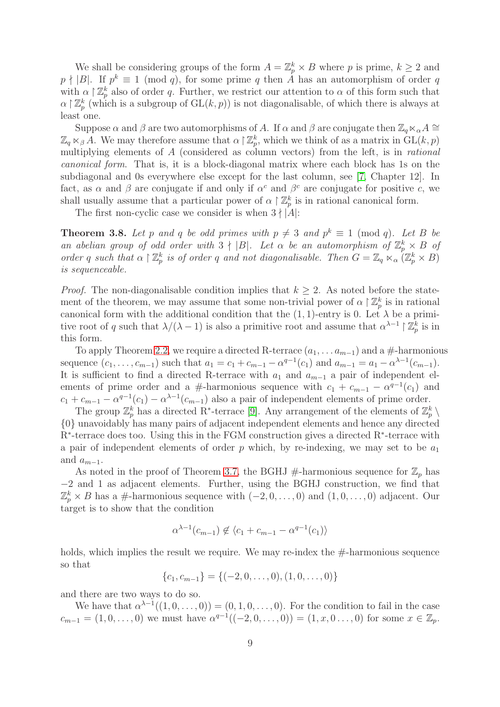We shall be considering groups of the form  $A = \mathbb{Z}_p^k \times B$  where p is prime,  $k \geq 2$  and  $p \nmid |B|$ . If  $p^k \equiv 1 \pmod{q}$ , for some prime q then  $\hat{A}$  has an automorphism of order q with  $\alpha \restriction \mathbb{Z}_p^k$  also of order q. Further, we restrict our attention to  $\alpha$  of this form such that  $\alpha \restriction \mathbb{Z}_p^k$  (which is a subgroup of  $\mathrm{GL}(k,p)$ ) is not diagonalisable, of which there is always at least one.

Suppose  $\alpha$  and  $\beta$  are two automorphisms of A. If  $\alpha$  and  $\beta$  are conjugate then  $\mathbb{Z}_q \ltimes_{\alpha} A \cong$  $\mathbb{Z}_q \ltimes_{\beta} A$ . We may therefore assume that  $\alpha \upharpoonright \mathbb{Z}_p^k$ , which we think of as a matrix in  $GL(k, p)$ multiplying elements of A (considered as column vectors) from the left, is in *rational canonical form*. That is, it is a block-diagonal matrix where each block has 1s on the subdiagonal and 0s everywhere else except for the last column, see [\[7,](#page-10-12) Chapter 12]. In fact, as  $\alpha$  and  $\beta$  are conjugate if and only if  $\alpha^c$  and  $\beta^c$  are conjugate for positive c, we shall usually assume that a particular power of  $\alpha \restriction \mathbb{Z}_p^k$  is in rational canonical form.

The first non-cyclic case we consider is when  $3 \nmid |A|$ :

<span id="page-8-0"></span>**Theorem 3.8.** Let p and q be odd primes with  $p \neq 3$  and  $p^k \equiv 1 \pmod{q}$ . Let B be *an abelian group of odd order with*  $3 \nmid |B|$ *. Let*  $\alpha$  *be an automorphism of*  $\mathbb{Z}_p^k \times B$  *of order* q such that  $\alpha \restriction \mathbb{Z}_p^k$  is of order q and not diagonalisable. Then  $G = \mathbb{Z}_q \ltimes_{\alpha} (\mathbb{Z}_p^k \times B)$ *is sequenceable.*

*Proof.* The non-diagonalisable condition implies that  $k \geq 2$ . As noted before the statement of the theorem, we may assume that some non-trivial power of  $\alpha \restriction \mathbb{Z}_p^k$  is in rational canonical form with the additional condition that the  $(1, 1)$ -entry is 0. Let  $\lambda$  be a primitive root of q such that  $\lambda/(\lambda-1)$  is also a primitive root and assume that  $\alpha^{\lambda-1} \restriction \mathbb{Z}_p^k$  is in this form.

To apply Theorem [2.2,](#page-3-0) we require a directed R-terrace  $(a_1, \ldots, a_{m-1})$  and a #-harmonious sequence  $(c_1, \ldots, c_{m-1})$  such that  $a_1 = c_1 + c_{m-1} - \alpha^{q-1}(c_1)$  and  $a_{m-1} = a_1 - \alpha^{\lambda-1}(c_{m-1})$ . It is sufficient to find a directed R-terrace with  $a_1$  and  $a_{m-1}$  a pair of independent elements of prime order and a #-harmonious sequence with  $c_1 + c_{m-1} - \alpha^{q-1}(c_1)$  and  $c_1 + c_{m-1} - \alpha^{q-1}(c_1) - \alpha^{\lambda-1}(c_{m-1})$  also a pair of independent elements of prime order.

The group  $\mathbb{Z}_p^k$  has a directed R<sup>∗</sup>-terrace [\[9\]](#page-10-6). Any arrangement of the elements of  $\mathbb{Z}_p^k \setminus$ {0} unavoidably has many pairs of adjacent independent elements and hence any directed R<sup>\*</sup>-terrace does too. Using this in the FGM construction gives a directed R<sup>\*</sup>-terrace with a pair of independent elements of order  $p$  which, by re-indexing, we may set to be  $a_1$ and  $a_{m-1}$ .

As noted in the proof of Theorem [3.7,](#page-7-0) the BGHJ #-harmonious sequence for  $\mathbb{Z}_p$  has −2 and 1 as adjacent elements. Further, using the BGHJ construction, we find that  $\mathbb{Z}_p^k \times B$  has a #-harmonious sequence with  $(-2, 0, \ldots, 0)$  and  $(1, 0, \ldots, 0)$  adjacent. Our target is to show that the condition

$$
\alpha^{\lambda-1}(c_{m-1}) \notin \langle c_1 + c_{m-1} - \alpha^{q-1}(c_1) \rangle
$$

holds, which implies the result we require. We may re-index the  $#$ -harmonious sequence so that

$$
\{c_1, c_{m-1}\} = \{(-2, 0, \dots, 0), (1, 0, \dots, 0)\}
$$

and there are two ways to do so.

We have that  $\alpha^{\lambda-1}((1,0,\ldots,0)) = (0,1,0,\ldots,0)$ . For the condition to fail in the case  $c_{m-1} = (1, 0, \ldots, 0)$  we must have  $\alpha^{q-1}((-2, 0, \ldots, 0)) = (1, x, 0, \ldots, 0)$  for some  $x \in \mathbb{Z}_p$ .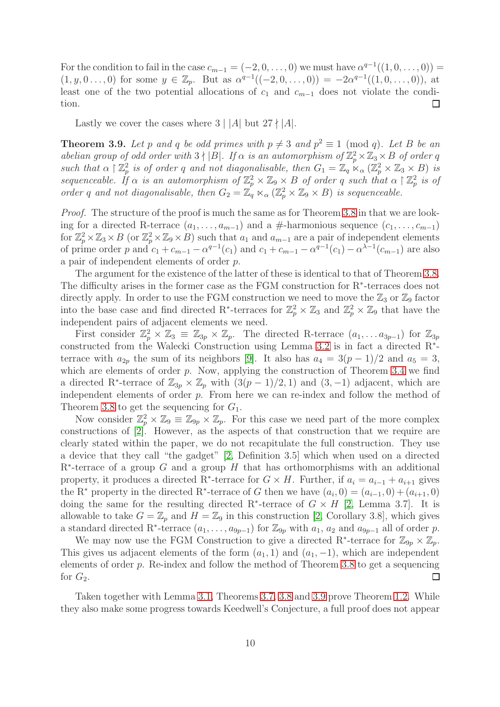For the condition to fail in the case  $c_{m-1} = (-2, 0, \ldots, 0)$  we must have  $\alpha^{q-1}((1, 0, \ldots, 0)) =$  $(1, y, 0 \ldots, 0)$  for some  $y \in \mathbb{Z}_p$ . But as  $\alpha^{q-1}((-2, 0, \ldots, 0)) = -2\alpha^{q-1}((1, 0, \ldots, 0)),$  at least one of the two potential allocations of  $c_1$  and  $c_{m-1}$  does not violate the condition.  $\Box$ 

Lastly we cover the cases where  $3 \mid |A|$  but  $27 \nmid |A|$ .

<span id="page-9-0"></span>**Theorem 3.9.** Let p and q be odd primes with  $p \neq 3$  and  $p^2 \equiv 1 \pmod{q}$ . Let B be an *abelian group of odd order with*  $3 \nmid |B|$ *. If*  $\alpha$  *is an automorphism of*  $\mathbb{Z}_p^2 \times \mathbb{Z}_3 \times B$  *of order* q *such that*  $\alpha \restriction \mathbb{Z}_p^2$  $p_p^2$  *is of order* q and not diagonalisable, then  $G_1 = \mathbb{Z}_q \times_{\alpha} (\mathbb{Z}_p^2 \times \mathbb{Z}_3 \times B)$  *is sequenceable.* If  $\alpha$  *is an automorphism of*  $\mathbb{Z}_p^2 \times \mathbb{Z}_9 \times B$  *of order* q *such that*  $\alpha \restriction \mathbb{Z}_p^2$ p *is of order* q and not diagonalisable, then  $G_2 = \mathbb{Z}_q \ltimes_{\alpha} (\mathbb{Z}_p^2 \times \mathbb{Z}_9 \times B)$  is sequenceable.

*Proof.* The structure of the proof is much the same as for Theorem [3.8](#page-8-0) in that we are looking for a directed R-terrace  $(a_1, \ldots, a_{m-1})$  and a #-harmonious sequence  $(c_1, \ldots, c_{m-1})$ for  $\mathbb{Z}_p^2 \times \mathbb{Z}_3 \times B$  (or  $\mathbb{Z}_p^2 \times \mathbb{Z}_9 \times B$ ) such that  $a_1$  and  $a_{m-1}$  are a pair of independent elements of prime order p and  $c_1 + c_{m-1} - \alpha^{q-1}(c_1)$  and  $c_1 + c_{m-1} - \alpha^{q-1}(c_1) - \alpha^{\lambda-1}(c_{m-1})$  are also a pair of independent elements of order p.

The argument for the existence of the latter of these is identical to that of Theorem [3.8.](#page-8-0) The difficulty arises in the former case as the FGM construction for R<sup>∗</sup> -terraces does not directly apply. In order to use the FGM construction we need to move the  $\mathbb{Z}_3$  or  $\mathbb{Z}_9$  factor into the base case and find directed R<sup>\*</sup>-terraces for  $\mathbb{Z}_p^2 \times \mathbb{Z}_3$  and  $\mathbb{Z}_p^2 \times \mathbb{Z}_9$  that have the independent pairs of adjacent elements we need.

First consider  $\mathbb{Z}_p^2 \times \mathbb{Z}_3 \equiv \mathbb{Z}_{3p} \times \mathbb{Z}_p$ . The directed R-terrace  $(a_1, \ldots a_{3p-1})$  for  $\mathbb{Z}_{3p}$ constructed from the Walecki Construction using Lemma [3.2](#page-5-2) is in fact a directed R<sup>∗</sup> terrace with  $a_{2p}$  the sum of its neighbors [\[9\]](#page-10-6). It also has  $a_4 = 3(p-1)/2$  and  $a_5 = 3$ , which are elements of order  $p$ . Now, applying the construction of Theorem [3.4](#page-5-0) we find a directed R<sup>\*</sup>-terrace of  $\mathbb{Z}_{3p} \times \mathbb{Z}_p$  with  $(3(p-1)/2, 1)$  and  $(3, -1)$  adjacent, which are independent elements of order p. From here we can re-index and follow the method of Theorem [3.8](#page-8-0) to get the sequencing for  $G_1$ .

Now consider  $\mathbb{Z}_p^2 \times \mathbb{Z}_9 \equiv \mathbb{Z}_{9p} \times \mathbb{Z}_p$ . For this case we need part of the more complex constructions of [\[2\]](#page-10-8). However, as the aspects of that construction that we require are clearly stated within the paper, we do not recapitulate the full construction. They use a device that they call "the gadget" [\[2,](#page-10-8) Definition 3.5] which when used on a directed  $R^*$ -terrace of a group G and a group H that has orthomorphisms with an additional property, it produces a directed R<sup>\*</sup>-terrace for  $G \times H$ . Further, if  $a_i = a_{i-1} + a_{i+1}$  gives the R<sup>∗</sup> property in the directed R<sup>∗</sup>-terrace of G then we have  $(a_i, 0) = (a_{i-1}, 0) + (a_{i+1}, 0)$ doing the same for the resulting directed R<sup>\*</sup>-terrace of  $G \times H$  [\[2,](#page-10-8) Lemma 3.7]. It is allowable to take  $G = \mathbb{Z}_p$  and  $H = \mathbb{Z}_9$  in this construction [\[2,](#page-10-8) Corollary 3.8], which gives a standard directed R<sup>\*</sup>-terrace  $(a_1, \ldots, a_{9p-1})$  for  $\mathbb{Z}_{9p}$  with  $a_1, a_2$  and  $a_{9p-1}$  all of order p.

We may now use the FGM Construction to give a directed R<sup>\*</sup>-terrace for  $\mathbb{Z}_{9p} \times \mathbb{Z}_p$ . This gives us adjacent elements of the form  $(a_1, 1)$  and  $(a_1, -1)$ , which are independent elements of order  $p$ . Re-index and follow the method of Theorem [3.8](#page-8-0) to get a sequencing for  $G_2$ .  $\Box$ 

Taken together with Lemma [3.1,](#page-4-1) Theorems [3.7,](#page-7-0) [3.8](#page-8-0) and [3.9](#page-9-0) prove Theorem [1.2.](#page-1-0) While they also make some progress towards Keedwell's Conjecture, a full proof does not appear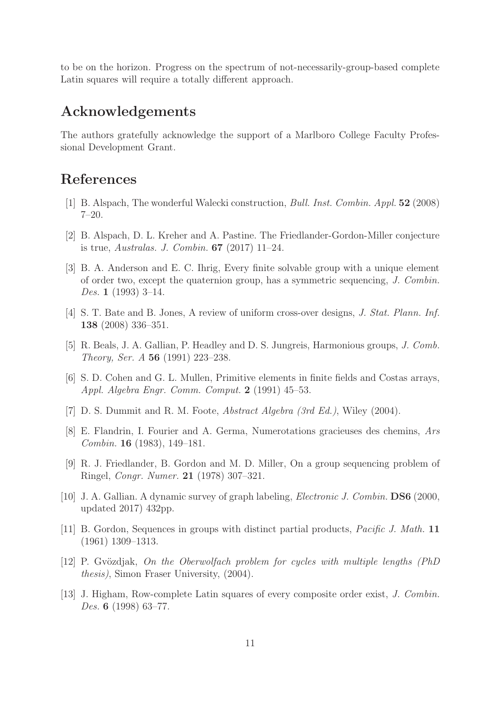to be on the horizon. Progress on the spectrum of not-necessarily-group-based complete Latin squares will require a totally different approach.

#### Acknowledgements

The authors gratefully acknowledge the support of a Marlboro College Faculty Professional Development Grant.

## <span id="page-10-2"></span>References

- <span id="page-10-8"></span>[1] B. Alspach, The wonderful Walecki construction, *Bull. Inst. Combin. Appl.* 52 (2008) 7–20.
- <span id="page-10-4"></span>[2] B. Alspach, D. L. Kreher and A. Pastine. The Friedlander-Gordon-Miller conjecture is true, *Australas. J. Combin.* 67 (2017) 11–24.
- [3] B. A. Anderson and E. C. Ihrig, Every finite solvable group with a unique element of order two, except the quaternion group, has a symmetric sequencing, *J. Combin. Des.* 1 (1993) 3–14.
- <span id="page-10-0"></span>[4] S. T. Bate and B. Jones, A review of uniform cross-over designs, *J. Stat. Plann. Inf.* 138 (2008) 336–351.
- <span id="page-10-7"></span><span id="page-10-5"></span>[5] R. Beals, J. A. Gallian, P. Headley and D. S. Jungreis, Harmonious groups, *J. Comb. Theory, Ser. A* 56 (1991) 223–238.
- [6] S. D. Cohen and G. L. Mullen, Primitive elements in finite fields and Costas arrays, *Appl. Algebra Engr. Comm. Comput.* 2 (1991) 45–53.
- <span id="page-10-12"></span><span id="page-10-10"></span>[7] D. S. Dummit and R. M. Foote, *Abstract Algebra (3rd Ed.)*, Wiley (2004).
- [8] E. Flandrin, I. Fourier and A. Germa, Numerotations gracieuses des chemins, *Ars Combin.* 16 (1983), 149–181.
- <span id="page-10-6"></span>[9] R. J. Friedlander, B. Gordon and M. D. Miller, On a group sequencing problem of Ringel, *Congr. Numer.* 21 (1978) 307–321.
- <span id="page-10-9"></span>[10] J. A. Gallian. A dynamic survey of graph labeling, *Electronic J. Combin.* DS6 (2000, updated 2017) 432pp.
- <span id="page-10-1"></span>[11] B. Gordon, Sequences in groups with distinct partial products, *Pacific J. Math.* 11 (1961) 1309–1313.
- <span id="page-10-11"></span>[12] P. Gvözdjak, *On the Oberwolfach problem for cycles with multiple lengths (PhD*) *thesis)*, Simon Fraser University, (2004).
- <span id="page-10-3"></span>[13] J. Higham, Row-complete Latin squares of every composite order exist, *J. Combin. Des.* 6 (1998) 63–77.